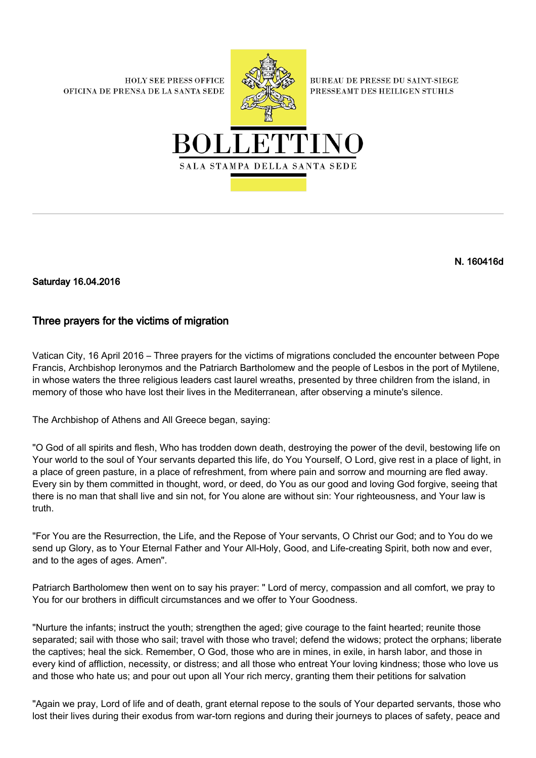**HOLY SEE PRESS OFFICE** OFICINA DE PRENSA DE LA SANTA SEDE



**BUREAU DE PRESSE DU SAINT-SIEGE** PRESSEAMT DES HEILIGEN STUHLS



## N. 160416d

Saturday 16.04.2016

## Three prayers for the victims of migration

Vatican City, 16 April 2016 – Three prayers for the victims of migrations concluded the encounter between Pope Francis, Archbishop Ieronymos and the Patriarch Bartholomew and the people of Lesbos in the port of Mytilene, in whose waters the three religious leaders cast laurel wreaths, presented by three children from the island, in memory of those who have lost their lives in the Mediterranean, after observing a minute's silence.

The Archbishop of Athens and All Greece began, saying:

"O God of all spirits and flesh, Who has trodden down death, destroying the power of the devil, bestowing life on Your world to the soul of Your servants departed this life, do You Yourself, O Lord, give rest in a place of light, in a place of green pasture, in a place of refreshment, from where pain and sorrow and mourning are fled away. Every sin by them committed in thought, word, or deed, do You as our good and loving God forgive, seeing that there is no man that shall live and sin not, for You alone are without sin: Your righteousness, and Your law is truth.

"For You are the Resurrection, the Life, and the Repose of Your servants, O Christ our God; and to You do we send up Glory, as to Your Eternal Father and Your All-Holy, Good, and Life-creating Spirit, both now and ever, and to the ages of ages. Amen".

Patriarch Bartholomew then went on to say his prayer: " Lord of mercy, compassion and all comfort, we pray to You for our brothers in difficult circumstances and we offer to Your Goodness.

"Nurture the infants; instruct the youth; strengthen the aged; give courage to the faint hearted; reunite those separated; sail with those who sail; travel with those who travel; defend the widows; protect the orphans; liberate the captives; heal the sick. Remember, O God, those who are in mines, in exile, in harsh labor, and those in every kind of affliction, necessity, or distress; and all those who entreat Your loving kindness; those who love us and those who hate us; and pour out upon all Your rich mercy, granting them their petitions for salvation

"Again we pray, Lord of life and of death, grant eternal repose to the souls of Your departed servants, those who lost their lives during their exodus from war-torn regions and during their journeys to places of safety, peace and